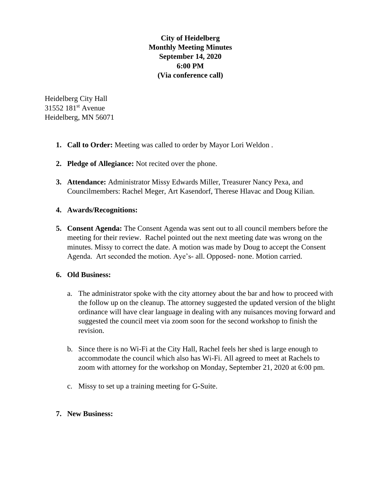**City of Heidelberg Monthly Meeting Minutes September 14, 2020 6:00 PM (Via conference call)**

Heidelberg City Hall 31552 181<sup>st</sup> Avenue Heidelberg, MN 56071

- **1. Call to Order:** Meeting was called to order by Mayor Lori Weldon .
- **2. Pledge of Allegiance:** Not recited over the phone.
- **3. Attendance:** Administrator Missy Edwards Miller, Treasurer Nancy Pexa, and Councilmembers: Rachel Meger, Art Kasendorf, Therese Hlavac and Doug Kilian.

## **4. Awards/Recognitions:**

**5. Consent Agenda:** The Consent Agenda was sent out to all council members before the meeting for their review. Rachel pointed out the next meeting date was wrong on the minutes. Missy to correct the date. A motion was made by Doug to accept the Consent Agenda. Art seconded the motion. Aye's- all. Opposed- none. Motion carried.

## **6. Old Business:**

- a. The administrator spoke with the city attorney about the bar and how to proceed with the follow up on the cleanup. The attorney suggested the updated version of the blight ordinance will have clear language in dealing with any nuisances moving forward and suggested the council meet via zoom soon for the second workshop to finish the revision.
- b. Since there is no Wi-Fi at the City Hall, Rachel feels her shed is large enough to accommodate the council which also has Wi-Fi. All agreed to meet at Rachels to zoom with attorney for the workshop on Monday, September 21, 2020 at 6:00 pm.
- c. Missy to set up a training meeting for G-Suite.

## **7. New Business:**